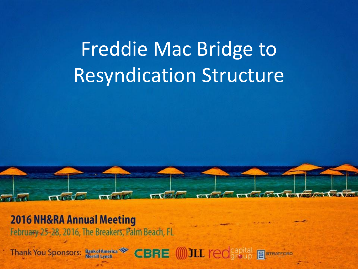

**2016 NH&RA Annual Meeting** 

February 25-28, 2016, The Breakers, Palm Beach, FL

**CBRE (0) JLL redsapital Bank of America Thank You Sponsors: B** STRATFORD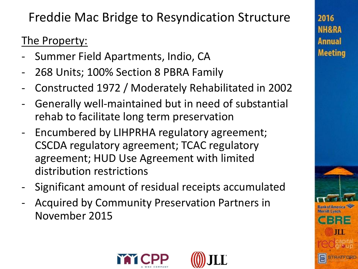### The Property:

- Summer Field Apartments, Indio, CA
- 268 Units; 100% Section 8 PBRA Family
- Constructed 1972 / Moderately Rehabilitated in 2002
- Generally well-maintained but in need of substantial rehab to facilitate long term preservation
- Encumbered by LIHPRHA regulatory agreement; CSCDA regulatory agreement; TCAC regulatory agreement; HUD Use Agreement with limited distribution restrictions
- Significant amount of residual receipts accumulated
- Acquired by Community Preservation Partners in November 2015





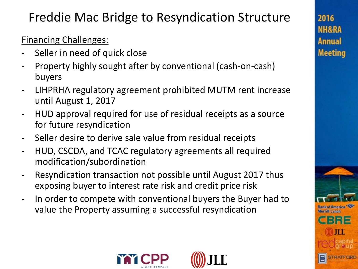### Financing Challenges:

- Seller in need of quick close
- Property highly sought after by conventional (cash-on-cash) buyers
- LIHPRHA regulatory agreement prohibited MUTM rent increase until August 1, 2017
- HUD approval required for use of residual receipts as a source for future resyndication
- Seller desire to derive sale value from residual receipts
- HUD, CSCDA, and TCAC regulatory agreements all required modification/subordination
- Resyndication transaction not possible until August 2017 thus exposing buyer to interest rate risk and credit price risk
- In order to compete with conventional buyers the Buyer had to value the Property assuming a successful resyndication





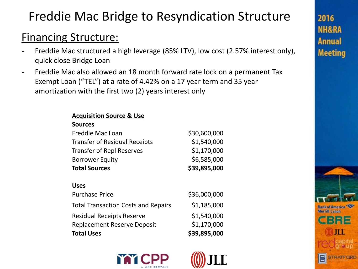### Financing Structure:

- Freddie Mac structured a high leverage (85% LTV), low cost (2.57% interest only), quick close Bridge Loan
- Freddie Mac also allowed an 18 month forward rate lock on a permanent Tax Exempt Loan ("TEL") at a rate of 4.42% on a 17 year term and 35 year amortization with the first two (2) years interest only

#### **Acquisition Source & Use**

#### **Sources**

| <b>Total Sources</b>                 | \$39,895,000 |
|--------------------------------------|--------------|
| <b>Borrower Equity</b>               | \$6,585,000  |
| <b>Transfer of Repl Reserves</b>     | \$1,170,000  |
| <b>Transfer of Residual Receipts</b> | \$1,540,000  |
| Freddie Mac Loan                     | \$30,600,000 |

#### **Uses**

| <b>Total Uses</b>                          | \$39,895,000 |
|--------------------------------------------|--------------|
| <b>Replacement Reserve Deposit</b>         | \$1,170,000  |
| <b>Residual Receipts Reserve</b>           | \$1,540,000  |
| <b>Total Transaction Costs and Repairs</b> | \$1,185,000  |
| <b>Purchase Price</b>                      | \$36,000,000 |